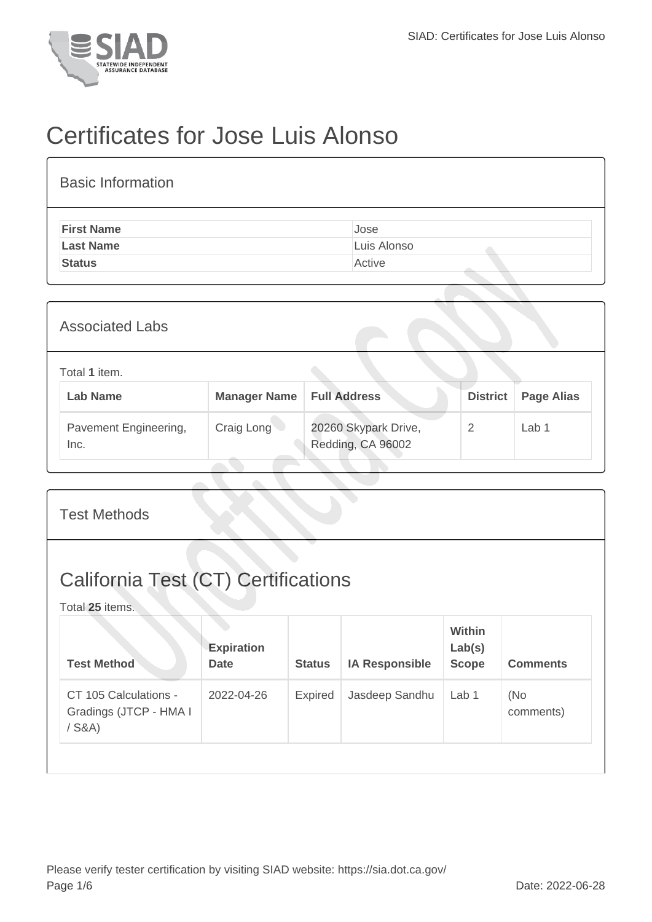

## Certificates for Jose Luis Alonso

| <b>Basic Information</b> |             |
|--------------------------|-------------|
| <b>First Name</b>        | Jose        |
| <b>Last Name</b>         | Luis Alonso |
| <b>Status</b>            | Active      |

| <b>Associated Labs</b>           |                     |                                           |                 |                   |  |  |  |
|----------------------------------|---------------------|-------------------------------------------|-----------------|-------------------|--|--|--|
| Total 1 item.<br><b>Lab Name</b> | <b>Manager Name</b> | <b>Full Address</b>                       | <b>District</b> | <b>Page Alias</b> |  |  |  |
| Pavement Engineering,<br>Inc.    | Craig Long          | 20260 Skypark Drive,<br>Redding, CA 96002 | 2               | Lab <sub>1</sub>  |  |  |  |

| <b>Test Methods</b>                                           |                                  |               |                       |                                         |                  |  |  |  |
|---------------------------------------------------------------|----------------------------------|---------------|-----------------------|-----------------------------------------|------------------|--|--|--|
| <b>California Test (CT) Certifications</b><br>Total 25 items. |                                  |               |                       |                                         |                  |  |  |  |
| <b>Test Method</b>                                            | <b>Expiration</b><br><b>Date</b> | <b>Status</b> | <b>IA Responsible</b> | <b>Within</b><br>Lab(s)<br><b>Scope</b> | <b>Comments</b>  |  |  |  |
| CT 105 Calculations -<br>Gradings (JTCP - HMA I<br>$/$ S&A)   | 2022-04-26                       | Expired       | Jasdeep Sandhu        | Lab 1                                   | (No<br>comments) |  |  |  |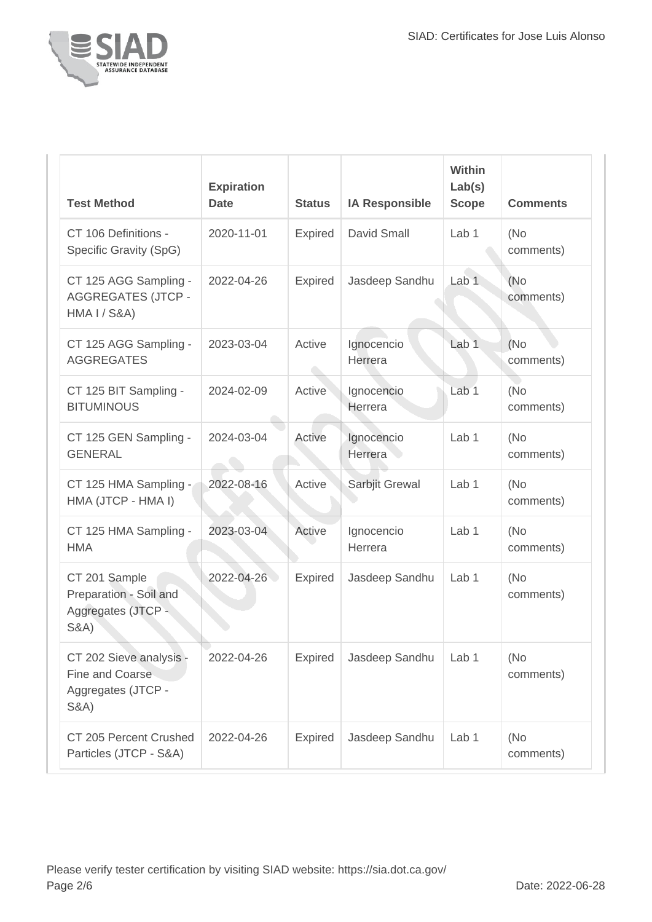

| <b>Test Method</b>                                                                   | <b>Expiration</b><br><b>Date</b> | <b>Status</b>  | <b>IA Responsible</b> | <b>Within</b><br>Lab(s)<br><b>Scope</b> | <b>Comments</b>   |
|--------------------------------------------------------------------------------------|----------------------------------|----------------|-----------------------|-----------------------------------------|-------------------|
| CT 106 Definitions -<br>Specific Gravity (SpG)                                       | 2020-11-01                       | <b>Expired</b> | David Small           | Lab <sub>1</sub>                        | (No)<br>comments) |
| CT 125 AGG Sampling -<br><b>AGGREGATES (JTCP -</b><br><b>HMA I / S&amp;A)</b>        | 2022-04-26                       | <b>Expired</b> | Jasdeep Sandhu        | Lab <sub>1</sub>                        | (No)<br>comments) |
| CT 125 AGG Sampling -<br><b>AGGREGATES</b>                                           | 2023-03-04                       | Active         | Ignocencio<br>Herrera | Lab <sub>1</sub>                        | (No<br>comments)  |
| CT 125 BIT Sampling -<br><b>BITUMINOUS</b>                                           | 2024-02-09                       | Active         | Ignocencio<br>Herrera | Lab <sub>1</sub>                        | (No<br>comments)  |
| CT 125 GEN Sampling -<br><b>GENERAL</b>                                              | 2024-03-04                       | Active         | Ignocencio<br>Herrera | Lab 1                                   | (No)<br>comments) |
| CT 125 HMA Sampling -<br>HMA (JTCP - HMA I)                                          | 2022-08-16                       | Active         | Sarbjit Grewal        | Lab <sub>1</sub>                        | (No)<br>comments) |
| CT 125 HMA Sampling -<br><b>HMA</b>                                                  | 2023-03-04                       | Active         | Ignocencio<br>Herrera | Lab 1                                   | (No<br>comments)  |
| CT 201 Sample<br>Preparation - Soil and<br>Aggregates (JTCP -<br><b>S&amp;A)</b>     | 2022-04-26                       | <b>Expired</b> | Jasdeep Sandhu        | Lab <sub>1</sub>                        | (No)<br>comments) |
| CT 202 Sieve analysis -<br>Fine and Coarse<br>Aggregates (JTCP -<br><b>S&amp;A</b> ) | 2022-04-26                       | <b>Expired</b> | Jasdeep Sandhu        | Lab 1                                   | (No)<br>comments) |
| CT 205 Percent Crushed<br>Particles (JTCP - S&A)                                     | 2022-04-26                       | <b>Expired</b> | Jasdeep Sandhu        | Lab 1                                   | (No)<br>comments) |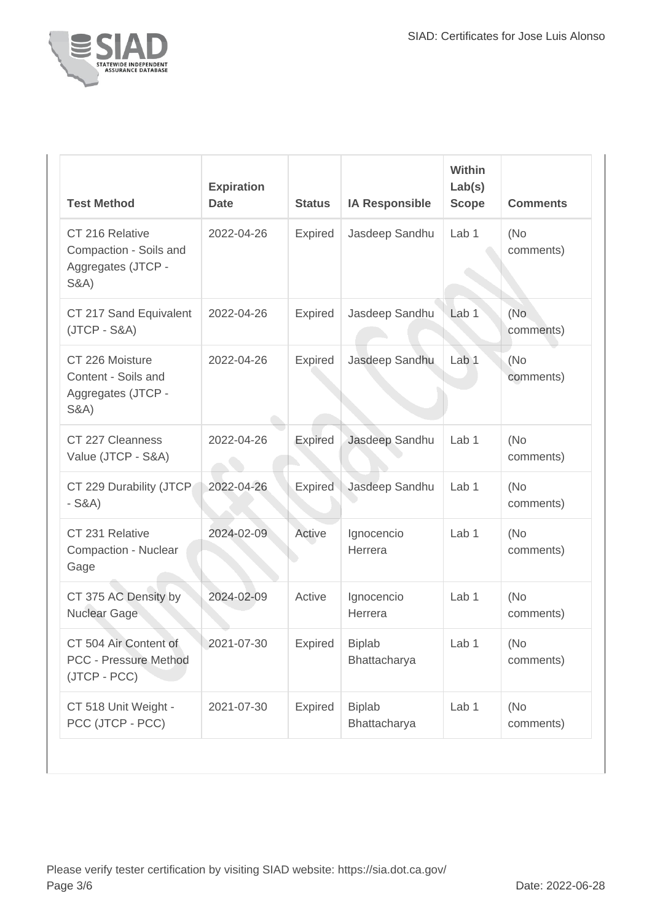

| <b>Test Method</b>                                                                 | <b>Expiration</b><br><b>Date</b> | <b>Status</b>  | <b>IA Responsible</b>         | Within<br>Lab(s)<br><b>Scope</b> | <b>Comments</b>   |
|------------------------------------------------------------------------------------|----------------------------------|----------------|-------------------------------|----------------------------------|-------------------|
| CT 216 Relative<br>Compaction - Soils and<br>Aggregates (JTCP -<br><b>S&amp;A)</b> | 2022-04-26                       | Expired        | Jasdeep Sandhu                | Lab <sub>1</sub>                 | (No<br>comments)  |
| CT 217 Sand Equivalent<br>$(JTCP - S&A)$                                           | 2022-04-26                       | <b>Expired</b> | Jasdeep Sandhu                | Lab <sub>1</sub>                 | (No<br>comments)  |
| CT 226 Moisture<br>Content - Soils and<br>Aggregates (JTCP -<br><b>S&amp;A)</b>    | 2022-04-26                       | Expired        | Jasdeep Sandhu                | Lab 1                            | (No<br>comments)  |
| CT 227 Cleanness<br>Value (JTCP - S&A)                                             | 2022-04-26                       | Expired        | Jasdeep Sandhu                | Lab <sub>1</sub>                 | (No)<br>comments) |
| CT 229 Durability (JTCP<br>$-S&A)$                                                 | 2022-04-26                       | Expired        | Jasdeep Sandhu                | Lab 1                            | (No<br>comments)  |
| CT 231 Relative<br>Compaction - Nuclear<br>Gage                                    | 2024-02-09                       | Active         | Ignocencio<br>Herrera         | Lab <sub>1</sub>                 | (No<br>comments)  |
| CT 375 AC Density by<br><b>Nuclear Gage</b>                                        | 2024-02-09                       | Active         | Ignocencio<br>Herrera         | Lab 1                            | (No<br>comments)  |
| CT 504 Air Content of<br><b>PCC - Pressure Method</b><br>(JTCP - PCC)              | 2021-07-30                       | Expired        | <b>Biplab</b><br>Bhattacharya | Lab 1                            | (No<br>comments)  |
| CT 518 Unit Weight -<br>PCC (JTCP - PCC)                                           | 2021-07-30                       | Expired        | <b>Biplab</b><br>Bhattacharya | Lab 1                            | (No<br>comments)  |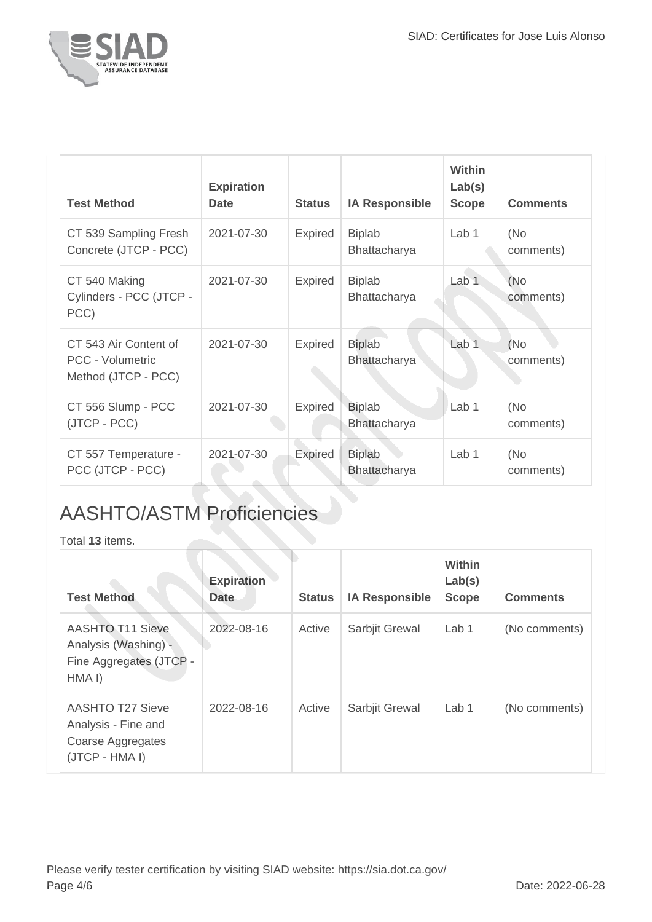

| <b>Test Method</b>                                                      | <b>Expiration</b><br><b>Date</b> | <b>Status</b>  | <b>IA Responsible</b>                | <b>Within</b><br>Lab(s)<br><b>Scope</b> | <b>Comments</b>  |
|-------------------------------------------------------------------------|----------------------------------|----------------|--------------------------------------|-----------------------------------------|------------------|
| CT 539 Sampling Fresh<br>Concrete (JTCP - PCC)                          | 2021-07-30                       | <b>Expired</b> | <b>Biplab</b><br><b>Bhattacharya</b> | Lab 1                                   | (No<br>comments) |
| CT 540 Making<br>Cylinders - PCC (JTCP -<br>PCC)                        | 2021-07-30                       | <b>Expired</b> | <b>Biplab</b><br>Bhattacharya        | Lab <sub>1</sub>                        | (No<br>comments) |
| CT 543 Air Content of<br><b>PCC - Volumetric</b><br>Method (JTCP - PCC) | 2021-07-30                       | <b>Expired</b> | <b>Biplab</b><br>Bhattacharya        | Lab <sub>1</sub>                        | (No<br>comments) |
| CT 556 Slump - PCC<br>(JTCP - PCC)                                      | 2021-07-30                       | <b>Expired</b> | <b>Biplab</b><br>Bhattacharya        | Lab <sub>1</sub>                        | (No<br>comments) |
| CT 557 Temperature -<br>PCC (JTCP - PCC)                                | 2021-07-30                       | Expired        | <b>Biplab</b><br><b>Bhattacharya</b> | Lab 1                                   | (No<br>comments) |

## AASHTO/ASTM Proficiencies

Total **13** items.

| <b>Test Method</b>                                                                               | <b>Expiration</b><br><b>Date</b> | <b>Status</b> | <b>IA Responsible</b> | Within<br>Lab(s)<br><b>Scope</b> | <b>Comments</b> |
|--------------------------------------------------------------------------------------------------|----------------------------------|---------------|-----------------------|----------------------------------|-----------------|
| <b>AASHTO T11 Sieve</b><br>Analysis (Washing) -<br>Fine Aggregates (JTCP -<br>HMA <sub>I</sub> ) | 2022-08-16                       | Active        | Sarbjit Grewal        | Lab <sub>1</sub>                 | (No comments)   |
| <b>AASHTO T27 Sieve</b><br>Analysis - Fine and<br>Coarse Aggregates<br>(JTCP - HMA I)            | 2022-08-16                       | Active        | Sarbjit Grewal        | Lab <sub>1</sub>                 | (No comments)   |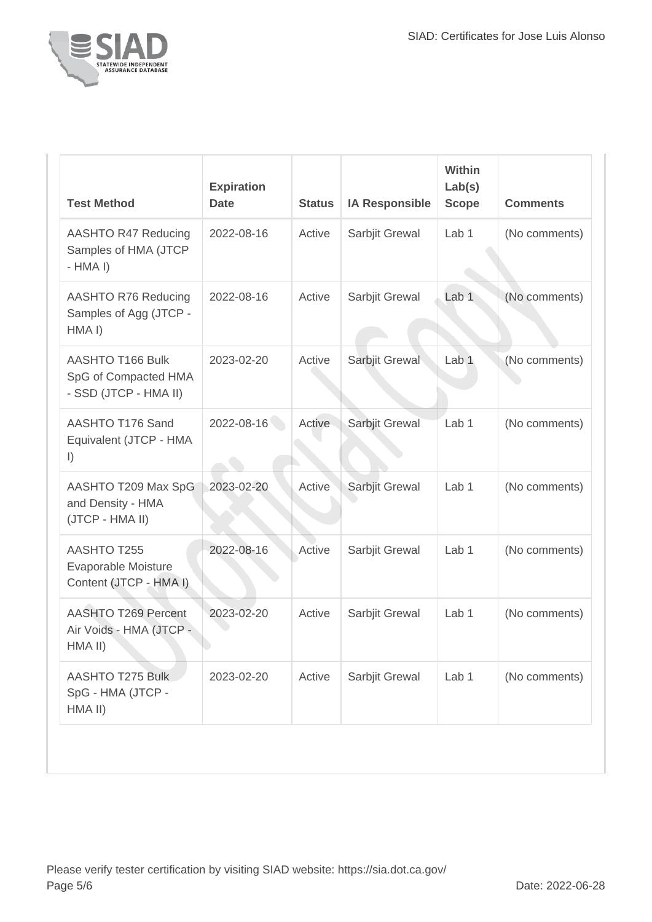

| 2022-08-16 |        | <b>IA Responsible</b> | <b>Scope</b>     | <b>Comments</b> |
|------------|--------|-----------------------|------------------|-----------------|
|            | Active | Sarbjit Grewal        | Lab <sub>1</sub> | (No comments)   |
| 2022-08-16 | Active | Sarbjit Grewal        | Lab <sub>1</sub> | (No comments)   |
| 2023-02-20 | Active | Sarbjit Grewal        | Lab <sub>1</sub> | (No comments)   |
| 2022-08-16 | Active | Sarbjit Grewal        | Lab <sub>1</sub> | (No comments)   |
| 2023-02-20 | Active | Sarbjit Grewal        | Lab <sub>1</sub> | (No comments)   |
| 2022-08-16 | Active | Sarbjit Grewal        | Lab <sub>1</sub> | (No comments)   |
| 2023-02-20 | Active | Sarbjit Grewal        | Lab 1            | (No comments)   |
| 2023-02-20 | Active | Sarbjit Grewal        | Lab <sub>1</sub> | (No comments)   |
|            |        |                       |                  |                 |